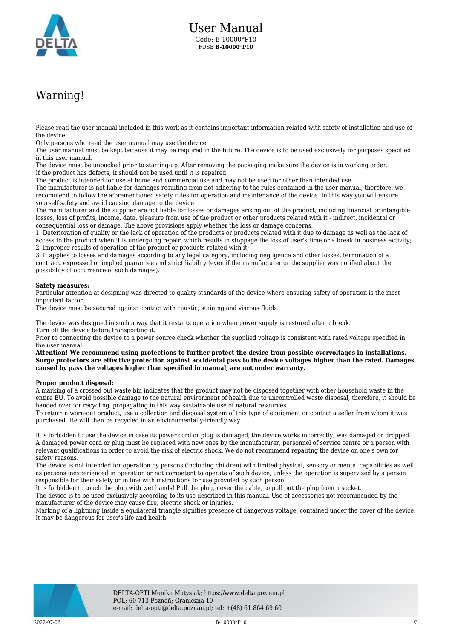

## Warning!

Please read the user manual included in this work as it contains important information related with safety of installation and use of the device.

Only persons who read the user manual may use the device.

The user manual must be kept because it may be required in the future. The device is to be used exclusively for purposes specified in this user manual.

The device must be unpacked prior to starting-up. After removing the packaging make sure the device is in working order. If the product has defects, it should not be used until it is repaired.

The product is intended for use at home and commercial use and may not be used for other than intended use.

The manufacturer is not liable for damages resulting from not adhering to the rules contained in the user manual, therefore, we recommend to follow the aforementioned safety rules for operation and maintenance of the device. In this way you will ensure yourself safety and avoid causing damage to the device.

The manufacturer and the supplier are not liable for losses or damages arising out of the product, including financial or intangible losses, loss of profits, income, data, pleasure from use of the product or other products related with it - indirect, incidental or consequential loss or damage. The above provisions apply whether the loss or damage concerns:

1. Deterioration of quality or the lack of operation of the products or products related with it due to damage as well as the lack of access to the product when it is undergoing repair, which results in stoppage the loss of user's time or a break in business activity; 2. Improper results of operation of the product or products related with it;

3. It applies to losses and damages according to any legal category, including negligence and other losses, termination of a contract, expressed or implied guarantee and strict liability (even if the manufacturer or the supplier was notified about the possibility of occurrence of such damages).

## **Safety measures:**

Particular attention at designing was directed to quality standards of the device where ensuring safety of operation is the most important factor.

The device must be secured against contact with caustic, staining and viscous fluids.

The device was designed in such a way that it restarts operation when power supply is restored after a break. Turn off the device before transporting it.

Prior to connecting the device to a power source check whether the supplied voltage is consistent with rated voltage specified in the user manual.

**Attention! We recommend using protections to further protect the device from possible overvoltages in installations. Surge protectors are effective protection against accidental pass to the device voltages higher than the rated. Damages caused by pass the voltages higher than specified in manual, are not under warranty.**

## **Proper product disposal:**

A marking of a crossed out waste bin indicates that the product may not be disposed together with other household waste in the entire EU. To avoid possible damage to the natural environment of health due to uncontrolled waste disposal, therefore, it should be handed over for recycling, propagating in this way sustainable use of natural resources.

To return a worn-out product, use a collection and disposal system of this type of equipment or contact a seller from whom it was purchased. He will then be recycled in an environmentally-friendly way.

It is forbidden to use the device in case its power cord or plug is damaged, the device works incorrectly, was damaged or dropped. A damaged power cord or plug must be replaced with new ones by the manufacturer, personnel of service centre or a person with relevant qualifications in order to avoid the risk of electric shock. We do not recommend repairing the device on one's own for safety reasons.

The device is not intended for operation by persons (including children) with limited physical, sensory or mental capabilities as well as persons inexperienced in operation or not competent to operate of such device, unless the operation is supervised by a person responsible for their safety or in line with instructions for use provided by such person.

It is forbidden to touch the plug with wet hands! Pull the plug, never the cable, to pull out the plug from a socket.

The device is to be used exclusively according to its use described in this manual. Use of accessories not recommended by the manufacturer of the device may cause fire, electric shock or injuries.

Marking of a lightning inside a equilateral triangle signifies presence of dangerous voltage, contained under the cover of the device. It may be dangerous for user's life and health.

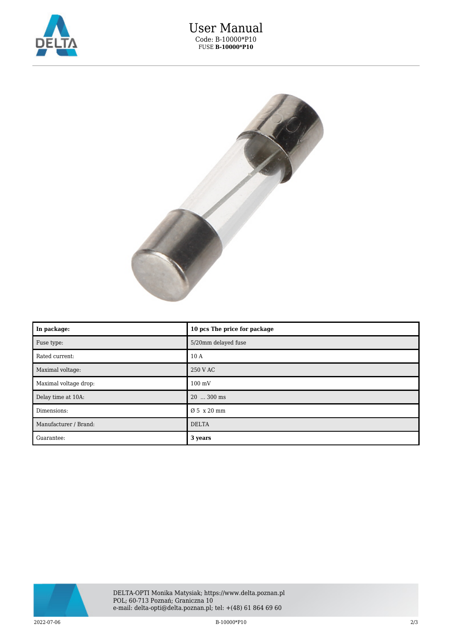

## User Manual Code: B-10000\*P10 FUSE **B-10000\*P10**



| In package:           | 10 pcs The price for package |
|-----------------------|------------------------------|
| Fuse type:            | 5/20mm delayed fuse          |
| Rated current:        | 10 A                         |
| Maximal voltage:      | 250 V AC                     |
| Maximal voltage drop: | $100 \text{ mV}$             |
| Delay time at 10A:    | $20$ $300$ ms                |
| Dimensions:           | Ø 5 x 20 mm                  |
| Manufacturer / Brand: | <b>DELTA</b>                 |
| Guarantee:            | 3 years                      |



 $2022$ -07-06 2/3